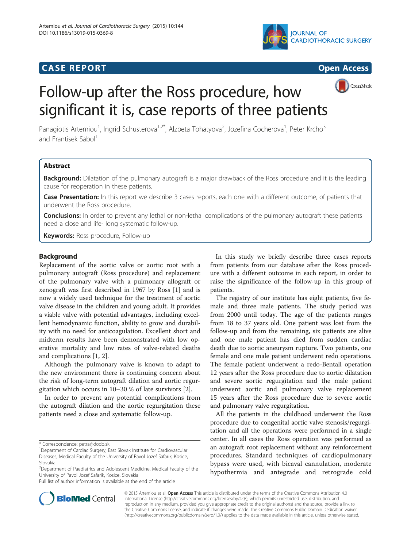## **CASE REPORT CASE REPORT CASE REPORT**





CrossMark

# Follow-up after the Ross procedure, how significant it is, case reports of three patients

Panagiotis Artemiou<sup>1</sup>, Ingrid Schusterova<sup>1,2\*</sup>, Alzbeta Tohatyova<sup>2</sup>, Jozefina Cocherova<sup>1</sup>, Peter Krcho<sup>3</sup> and Frantisek Sabol<sup>1</sup>

#### Abstract

Background: Dilatation of the pulmonary autograft is a major drawback of the Ross procedure and it is the leading cause for reoperation in these patients.

Case Presentation: In this report we describe 3 cases reports, each one with a different outcome, of patients that underwent the Ross procedure.

**Conclusions:** In order to prevent any lethal or non-lethal complications of the pulmonary autograft these patients need a close and life- long systematic follow-up.

Keywords: Ross procedure, Follow-up

#### Background

Replacement of the aortic valve or aortic root with a pulmonary autograft (Ross procedure) and replacement of the pulmonary valve with a pulmonary allograft or xenograft was first described in 1967 by Ross [[1\]](#page-3-0) and is now a widely used technique for the treatment of aortic valve disease in the children and young adult. It provides a viable valve with potential advantages, including excellent hemodynamic function, ability to grow and durability with no need for anticoagulation. Excellent short and midterm results have been demonstrated with low operative mortality and low rates of valve-related deaths and complications [[1, 2\]](#page-3-0).

Although the pulmonary valve is known to adapt to the new environment there is continuing concern about the risk of long-term autograft dilation and aortic regurgitation which occurs in 10–30 % of late survivors [[2\]](#page-3-0).

In order to prevent any potential complications from the autograft dilation and the aortic regurgitation these patients need a close and systematic follow-up.

Full list of author information is available at the end of the article



The registry of our institute has eight patients, five female and three male patients. The study period was from 2000 until today. The age of the patients ranges from 18 to 37 years old. One patient was lost from the follow-up and from the remaining, six patients are alive and one male patient has died from sudden cardiac death due to aortic aneurysm rupture. Two patients, one female and one male patient underwent redo operations. The female patient underwent a redo-Bentall operation 12 years after the Ross procedure due to aortic dilatation and severe aortic regurgitation and the male patient underwent aortic and pulmonary valve replacement 15 years after the Ross procedure due to severe aortic and pulmonary valve regurgitation.

All the patients in the childhood underwent the Ross procedure due to congenital aortic valve stenosis/regurgitation and all the operations were performed in a single center. In all cases the Ross operation was performed as an autograft root replacement without any reinforcement procedures. Standard techniques of cardiopulmonary bypass were used, with bicaval cannulation, moderate hypothermia and antegrade and retrograde cold



© 2015 Artemiou et al. Open Access This article is distributed under the terms of the Creative Commons Attribution 4.0 International License [\(http://creativecommons.org/licenses/by/4.0/](http://creativecommons.org/licenses/by/4.0/)), which permits unrestricted use, distribution, and reproduction in any medium, provided you give appropriate credit to the original author(s) and the source, provide a link to the Creative Commons license, and indicate if changes were made. The Creative Commons Public Domain Dedication waiver [\(http://creativecommons.org/publicdomain/zero/1.0/](http://creativecommons.org/publicdomain/zero/1.0/)) applies to the data made available in this article, unless otherwise stated.

<sup>\*</sup> Correspondence: [petra@dodo.sk](mailto:petra@dodo.sk) <sup>1</sup>

<sup>&</sup>lt;sup>1</sup>Department of Cardiac Surgery, East Slovak Institute for Cardiovascular Diseases, Medical Faculty of the University of Pavol Jozef Safarik, Kosice, Slovakia

<sup>&</sup>lt;sup>2</sup>Department of Paediatrics and Adolescent Medicine, Medical Faculty of the University of Pavol Jozef Safarik, Kosice, Slovakia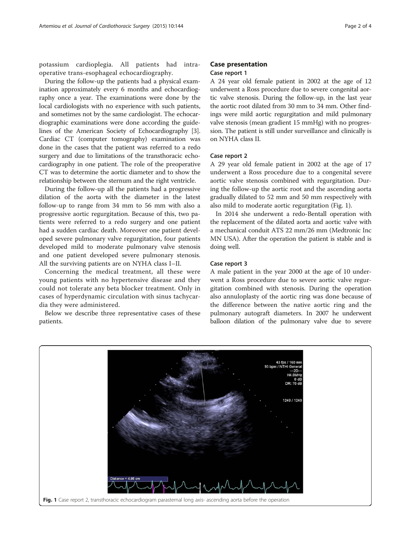potassium cardioplegia. All patients had intraoperative trans-esophageal echocardiography.

During the follow-up the patients had a physical examination approximately every 6 months and echocardiography once a year. The examinations were done by the local cardiologists with no experience with such patients, and sometimes not by the same cardiologist. The echocardiographic examinations were done according the guidelines of the American Society of Echocardiography [[3](#page-3-0)]. Cardiac CT (computer tomography) examination was done in the cases that the patient was referred to a redo surgery and due to limitations of the transthoracic echocardiography in one patient. The role of the preoperative CT was to determine the aortic diameter and to show the relationship between the sternum and the right ventricle.

During the follow-up all the patients had a progressive dilation of the aorta with the diameter in the latest follow-up to range from 34 mm to 56 mm with also a progressive aortic regurgitation. Because of this, two patients were referred to a redo surgery and one patient had a sudden cardiac death. Moreover one patient developed severe pulmonary valve regurgitation, four patients developed mild to moderate pulmonary valve stenosis and one patient developed severe pulmonary stenosis. All the surviving patients are on NYHA class I–II.

Concerning the medical treatment, all these were young patients with no hypertensive disease and they could not tolerate any beta blocker treatment. Only in cases of hyperdynamic circulation with sinus tachycardia they were administered.

Below we describe three representative cases of these patients.

# Case presentation

### Case report 1

A 24 year old female patient in 2002 at the age of 12 underwent a Ross procedure due to severe congenital aortic valve stenosis. During the follow-up, in the last year the aortic root dilated from 30 mm to 34 mm. Other findings were mild aortic regurgitation and mild pulmonary valve stenosis (mean gradient 15 mmHg) with no progression. The patient is still under surveillance and clinically is on NYHA class II.

#### Case report 2

A 29 year old female patient in 2002 at the age of 17 underwent a Ross procedure due to a congenital severe aortic valve stenosis combined with regurgitation. During the follow-up the aortic root and the ascending aorta gradually dilated to 52 mm and 50 mm respectively with also mild to moderate aortic regurgitation (Fig. 1).

In 2014 she underwent a redo-Bentall operation with the replacement of the dilated aorta and aortic valve with a mechanical conduit ATS 22 mm/26 mm (Medtronic Inc MN USA). After the operation the patient is stable and is doing well.

#### Case report 3

A male patient in the year 2000 at the age of 10 underwent a Ross procedure due to severe aortic valve regurgitation combined with stenosis. During the operation also annuloplasty of the aortic ring was done because of the difference between the native aortic ring and the pulmonary autograft diameters. In 2007 he underwent balloon dilation of the pulmonary valve due to severe

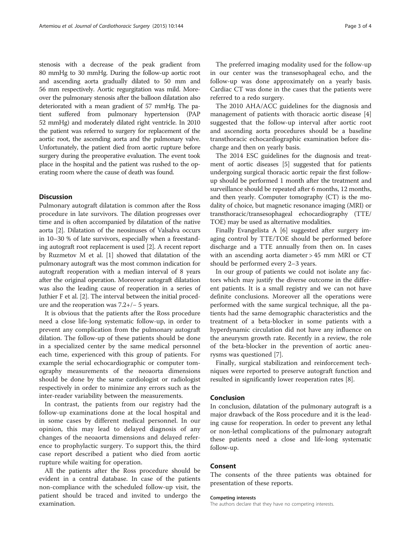stenosis with a decrease of the peak gradient from 80 mmHg to 30 mmHg. During the follow-up aortic root and ascending aorta gradually dilated to 50 mm and 56 mm respectively. Aortic regurgitation was mild. Moreover the pulmonary stenosis after the balloon dilatation also deteriorated with a mean gradient of 57 mmHg. The patient suffered from pulmonary hypertension (PAP 52 mmHg) and moderately dilated right ventricle. In 2010 the patient was referred to surgery for replacement of the aortic root, the ascending aorta and the pulmonary valve. Unfortunately, the patient died from aortic rupture before surgery during the preoperative evaluation. The event took place in the hospital and the patient was rushed to the operating room where the cause of death was found.

#### **Discussion**

Pulmonary autograft dilatation is common after the Ross procedure in late survivors. The dilation progresses over time and is often accompanied by dilatation of the native aorta [\[2\]](#page-3-0). Dilatation of the neosinuses of Valsalva occurs in 10–30 % of late survivors, especially when a freestanding autograft root replacement is used [\[2](#page-3-0)]. A recent report by Ruzmetov M et al. [[1](#page-3-0)] showed that dilatation of the pulmonary autograft was the most common indication for autograft reoperation with a median interval of 8 years after the original operation. Moreover autograft dilatation was also the leading cause of reoperation in a series of Juthier F et al. [[2\]](#page-3-0). The interval between the initial procedure and the reoperation was 7.2+/− 5 years.

It is obvious that the patients after the Ross procedure need a close life-long systematic follow-up, in order to prevent any complication from the pulmonary autograft dilation. The follow-up of these patients should be done in a specialized center by the same medical personnel each time, experienced with this group of patients. For example the serial echocardiographic or computer tomography measurements of the neoaorta dimensions should be done by the same cardiologist or radiologist respectively in order to minimize any errors such as the inter-reader variability between the measurements.

In contrast, the patients from our registry had the follow-up examinations done at the local hospital and in some cases by different medical personnel. In our opinion, this may lead to delayed diagnosis of any changes of the neoaorta dimensions and delayed reference to prophylactic surgery. To support this, the third case report described a patient who died from aortic rupture while waiting for operation.

All the patients after the Ross procedure should be evident in a central database. In case of the patients non-compliance with the scheduled follow-up visit, the patient should be traced and invited to undergo the examination.

The preferred imaging modality used for the follow-up in our center was the transesophageal echo, and the follow-up was done approximately on a yearly basis. Cardiac CT was done in the cases that the patients were referred to a redo surgery.

The 2010 AHA/ACC guidelines for the diagnosis and management of patients with thoracic aortic disease [\[4](#page-3-0)] suggested that the follow-up interval after aortic root and ascending aorta procedures should be a baseline transthoracic echocardiographic examination before discharge and then on yearly basis.

The 2014 ESC guidelines for the diagnosis and treatment of aortic diseases [\[5\]](#page-3-0) suggested that for patients undergoing surgical thoracic aortic repair the first followup should be performed 1 month after the treatment and surveillance should be repeated after 6 months, 12 months, and then yearly. Computer tomography (CT) is the modality of choice, but magnetic resonance imaging (MRI) or transthoracic/transesophageal echocardiography (TTE/ TOE) may be used as alternative modalities.

Finally Evangelista A [\[6](#page-3-0)] suggested after surgery imaging control by TTE/TOE should be performed before discharge and a TTE annually from then on. In cases with an ascending aorta diameter > 45 mm MRI or CT should be performed every 2–3 years.

In our group of patients we could not isolate any factors which may justify the diverse outcome in the different patients. It is a small registry and we can not have definite conclusions. Moreover all the operations were performed with the same surgical technique, all the patients had the same demographic characteristics and the treatment of a beta-blocker in some patients with a hyperdynamic circulation did not have any influence on the aneurysm growth rate. Recently in a review, the role of the beta-blocker in the prevention of aortic aneurysms was questioned [\[7](#page-3-0)].

Finally, surgical stabilization and reinforcement techniques were reported to preserve autograft function and resulted in significantly lower reoperation rates [[8\]](#page-3-0).

#### Conclusion

In conclusion, dilatation of the pulmonary autograft is a major drawback of the Ross procedure and it is the leading cause for reoperation. In order to prevent any lethal or non-lethal complications of the pulmonary autograft these patients need a close and life-long systematic follow-up.

#### Consent

The consents of the three patients was obtained for presentation of these reports.

#### Competing interests

The authors declare that they have no competing interests.